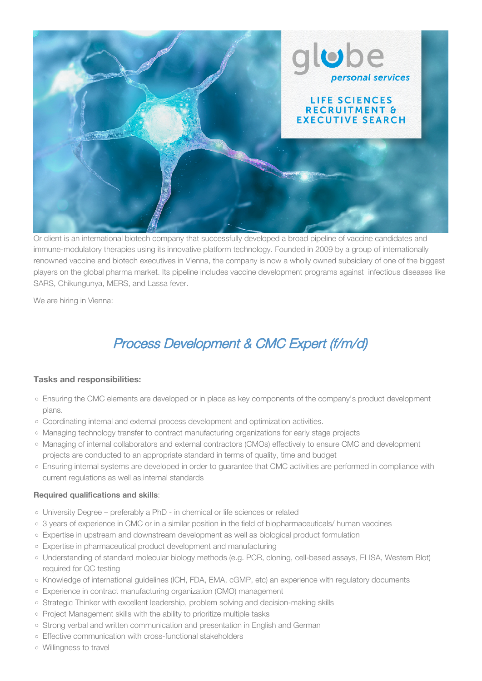

Or client is an international biotech company that successfully developed a broad pipeline of vaccine candidates and immune-modulatory therapies using its innovative platform technology. Founded in 2009 by a group of internationally renowned vaccine and biotech executives in Vienna, the company is now a wholly owned subsidiary of one of the biggest players on the global pharma market. Its pipeline includes vaccine development programs against infectious diseases like SARS, Chikungunya, MERS, and Lassa fever.

We are hiring in Vienna:

# Process Development & CMC Expert (f/m/d)

## **Tasks and responsibilities:**

- Ensuring the CMC elements are developed or in place as key components of the company's product development plans.
- Coordinating internal and external process development and optimization activities.
- Managing technology transfer to contract manufacturing organizations for early stage projects
- Managing of internal collaborators and external contractors (CMOs) effectively to ensure CMC and development projects are conducted to an appropriate standard in terms of quality, time and budget
- Ensuring internal systems are developed in order to guarantee that CMC activities are performed in compliance with current regulations as well as internal standards

#### **Required qualifications and skills**:

- University Degree preferably a PhD in chemical or life sciences or related
- 3 years of experience in CMC or in a similar position in the field of biopharmaceuticals/ human vaccines
- Expertise in upstream and downstream development as well as biological product formulation
- Expertise in pharmaceutical product development and manufacturing
- Understanding of standard molecular biology methods (e.g. PCR, cloning, cell-based assays, ELISA, Western Blot) required for QC testing
- o Knowledge of international guidelines (ICH, FDA, EMA, cGMP, etc) an experience with regulatory documents
- Experience in contract manufacturing organization (CMO) management
- o Strategic Thinker with excellent leadership, problem solving and decision-making skills
- o Project Management skills with the ability to prioritize multiple tasks
- Strong verbal and written communication and presentation in English and German
- Effective communication with cross-functional stakeholders
- Willingness to travel